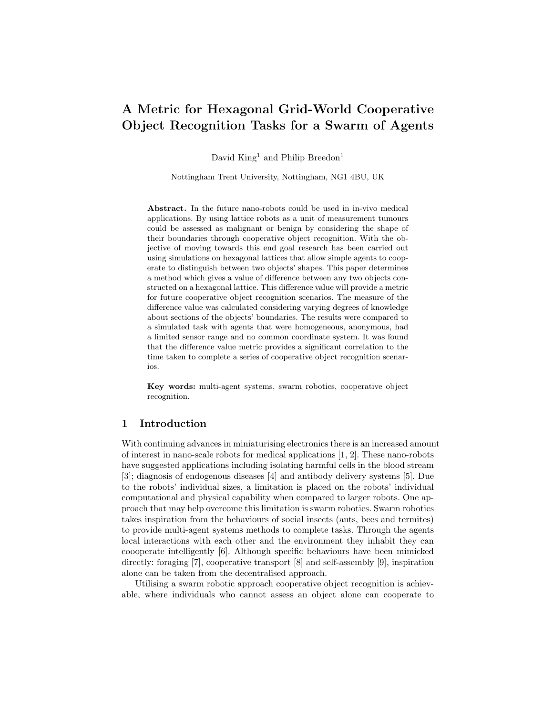# A Metric for Hexagonal Grid-World Cooperative Object Recognition Tasks for a Swarm of Agents

David King<sup>1</sup> and Philip Breedon<sup>1</sup>

Nottingham Trent University, Nottingham, NG1 4BU, UK

Abstract. In the future nano-robots could be used in in-vivo medical applications. By using lattice robots as a unit of measurement tumours could be assessed as malignant or benign by considering the shape of their boundaries through cooperative object recognition. With the objective of moving towards this end goal research has been carried out using simulations on hexagonal lattices that allow simple agents to cooperate to distinguish between two objects' shapes. This paper determines a method which gives a value of difference between any two objects constructed on a hexagonal lattice. This difference value will provide a metric for future cooperative object recognition scenarios. The measure of the difference value was calculated considering varying degrees of knowledge about sections of the objects' boundaries. The results were compared to a simulated task with agents that were homogeneous, anonymous, had a limited sensor range and no common coordinate system. It was found that the difference value metric provides a significant correlation to the time taken to complete a series of cooperative object recognition scenarios.

Key words: multi-agent systems, swarm robotics, cooperative object recognition.

# 1 Introduction

With continuing advances in miniaturising electronics there is an increased amount of interest in nano-scale robots for medical applications [1, 2]. These nano-robots have suggested applications including isolating harmful cells in the blood stream [3]; diagnosis of endogenous diseases [4] and antibody delivery systems [5]. Due to the robots' individual sizes, a limitation is placed on the robots' individual computational and physical capability when compared to larger robots. One approach that may help overcome this limitation is swarm robotics. Swarm robotics takes inspiration from the behaviours of social insects (ants, bees and termites) to provide multi-agent systems methods to complete tasks. Through the agents local interactions with each other and the environment they inhabit they can coooperate intelligently [6]. Although specific behaviours have been mimicked directly: foraging [7], cooperative transport [8] and self-assembly [9], inspiration alone can be taken from the decentralised approach.

Utilising a swarm robotic approach cooperative object recognition is achievable, where individuals who cannot assess an object alone can cooperate to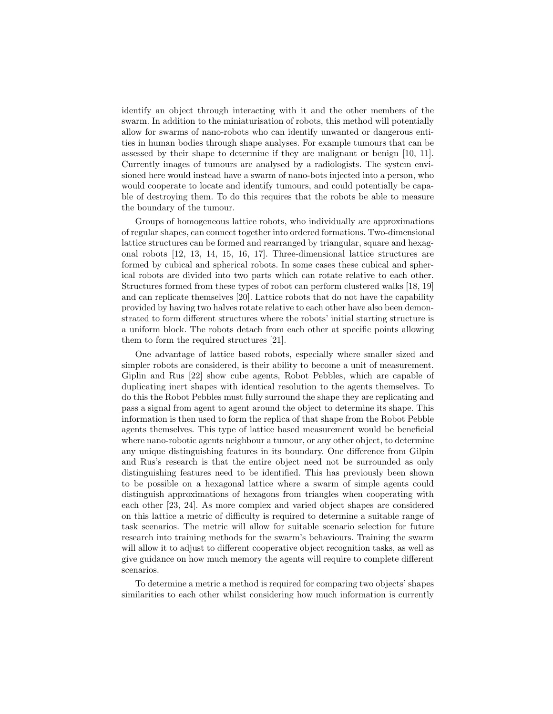identify an object through interacting with it and the other members of the swarm. In addition to the miniaturisation of robots, this method will potentially allow for swarms of nano-robots who can identify unwanted or dangerous entities in human bodies through shape analyses. For example tumours that can be assessed by their shape to determine if they are malignant or benign [10, 11]. Currently images of tumours are analysed by a radiologists. The system envisioned here would instead have a swarm of nano-bots injected into a person, who would cooperate to locate and identify tumours, and could potentially be capable of destroying them. To do this requires that the robots be able to measure the boundary of the tumour.

Groups of homogeneous lattice robots, who individually are approximations of regular shapes, can connect together into ordered formations. Two-dimensional lattice structures can be formed and rearranged by triangular, square and hexagonal robots [12, 13, 14, 15, 16, 17]. Three-dimensional lattice structures are formed by cubical and spherical robots. In some cases these cubical and spherical robots are divided into two parts which can rotate relative to each other. Structures formed from these types of robot can perform clustered walks [18, 19] and can replicate themselves [20]. Lattice robots that do not have the capability provided by having two halves rotate relative to each other have also been demonstrated to form different structures where the robots' initial starting structure is a uniform block. The robots detach from each other at specific points allowing them to form the required structures [21].

One advantage of lattice based robots, especially where smaller sized and simpler robots are considered, is their ability to become a unit of measurement. Giplin and Rus [22] show cube agents, Robot Pebbles, which are capable of duplicating inert shapes with identical resolution to the agents themselves. To do this the Robot Pebbles must fully surround the shape they are replicating and pass a signal from agent to agent around the object to determine its shape. This information is then used to form the replica of that shape from the Robot Pebble agents themselves. This type of lattice based measurement would be beneficial where nano-robotic agents neighbour a tumour, or any other object, to determine any unique distinguishing features in its boundary. One difference from Gilpin and Rus's research is that the entire object need not be surrounded as only distinguishing features need to be identified. This has previously been shown to be possible on a hexagonal lattice where a swarm of simple agents could distinguish approximations of hexagons from triangles when cooperating with each other [23, 24]. As more complex and varied object shapes are considered on this lattice a metric of difficulty is required to determine a suitable range of task scenarios. The metric will allow for suitable scenario selection for future research into training methods for the swarm's behaviours. Training the swarm will allow it to adjust to different cooperative object recognition tasks, as well as give guidance on how much memory the agents will require to complete different scenarios.

To determine a metric a method is required for comparing two objects' shapes similarities to each other whilst considering how much information is currently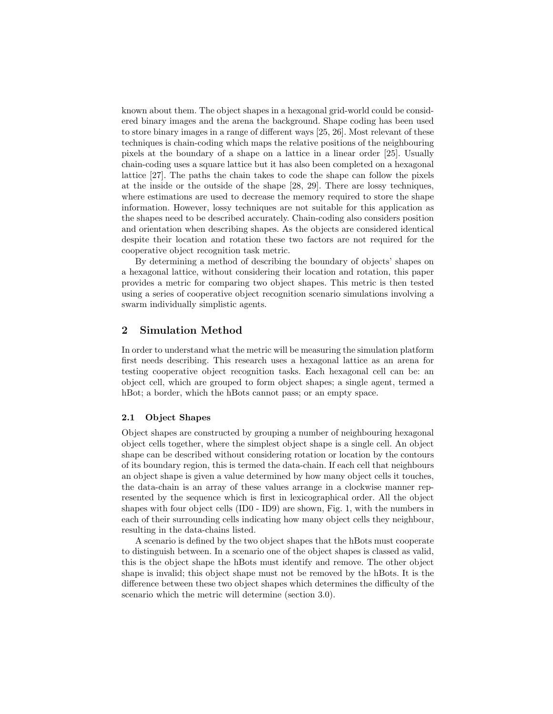known about them. The object shapes in a hexagonal grid-world could be considered binary images and the arena the background. Shape coding has been used to store binary images in a range of different ways [25, 26]. Most relevant of these techniques is chain-coding which maps the relative positions of the neighbouring pixels at the boundary of a shape on a lattice in a linear order [25]. Usually chain-coding uses a square lattice but it has also been completed on a hexagonal lattice [27]. The paths the chain takes to code the shape can follow the pixels at the inside or the outside of the shape [28, 29]. There are lossy techniques, where estimations are used to decrease the memory required to store the shape information. However, lossy techniques are not suitable for this application as the shapes need to be described accurately. Chain-coding also considers position and orientation when describing shapes. As the objects are considered identical despite their location and rotation these two factors are not required for the cooperative object recognition task metric.

By determining a method of describing the boundary of objects' shapes on a hexagonal lattice, without considering their location and rotation, this paper provides a metric for comparing two object shapes. This metric is then tested using a series of cooperative object recognition scenario simulations involving a swarm individually simplistic agents.

## 2 Simulation Method

In order to understand what the metric will be measuring the simulation platform first needs describing. This research uses a hexagonal lattice as an arena for testing cooperative object recognition tasks. Each hexagonal cell can be: an object cell, which are grouped to form object shapes; a single agent, termed a hBot; a border, which the hBots cannot pass; or an empty space.

#### 2.1 Object Shapes

Object shapes are constructed by grouping a number of neighbouring hexagonal object cells together, where the simplest object shape is a single cell. An object shape can be described without considering rotation or location by the contours of its boundary region, this is termed the data-chain. If each cell that neighbours an object shape is given a value determined by how many object cells it touches, the data-chain is an array of these values arrange in a clockwise manner represented by the sequence which is first in lexicographical order. All the object shapes with four object cells (ID0 - ID9) are shown, Fig. 1, with the numbers in each of their surrounding cells indicating how many object cells they neighbour, resulting in the data-chains listed.

A scenario is defined by the two object shapes that the hBots must cooperate to distinguish between. In a scenario one of the object shapes is classed as valid, this is the object shape the hBots must identify and remove. The other object shape is invalid; this object shape must not be removed by the hBots. It is the difference between these two object shapes which determines the difficulty of the scenario which the metric will determine (section 3.0).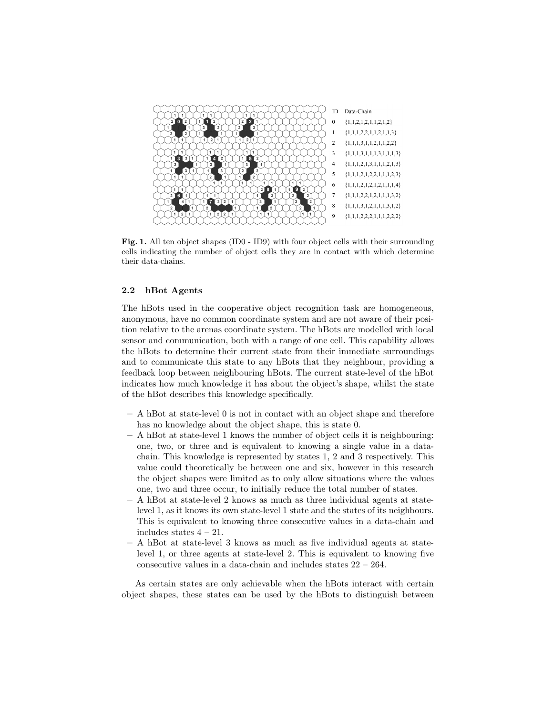

Fig. 1. All ten object shapes (ID0 - ID9) with four object cells with their surrounding cells indicating the number of object cells they are in contact with which determine their data-chains.

### 2.2 hBot Agents

The hBots used in the cooperative object recognition task are homogeneous, anonymous, have no common coordinate system and are not aware of their position relative to the arenas coordinate system. The hBots are modelled with local sensor and communication, both with a range of one cell. This capability allows the hBots to determine their current state from their immediate surroundings and to communicate this state to any hBots that they neighbour, providing a feedback loop between neighbouring hBots. The current state-level of the hBot indicates how much knowledge it has about the object's shape, whilst the state of the hBot describes this knowledge specifically.

- A hBot at state-level 0 is not in contact with an object shape and therefore has no knowledge about the object shape, this is state 0.
- A hBot at state-level 1 knows the number of object cells it is neighbouring: one, two, or three and is equivalent to knowing a single value in a datachain. This knowledge is represented by states 1, 2 and 3 respectively. This value could theoretically be between one and six, however in this research the object shapes were limited as to only allow situations where the values one, two and three occur, to initially reduce the total number of states.
- A hBot at state-level 2 knows as much as three individual agents at statelevel 1, as it knows its own state-level 1 state and the states of its neighbours. This is equivalent to knowing three consecutive values in a data-chain and includes states  $4 - 21$ .
- A hBot at state-level 3 knows as much as five individual agents at statelevel 1, or three agents at state-level 2. This is equivalent to knowing five consecutive values in a data-chain and includes states 22 – 264.

As certain states are only achievable when the hBots interact with certain object shapes, these states can be used by the hBots to distinguish between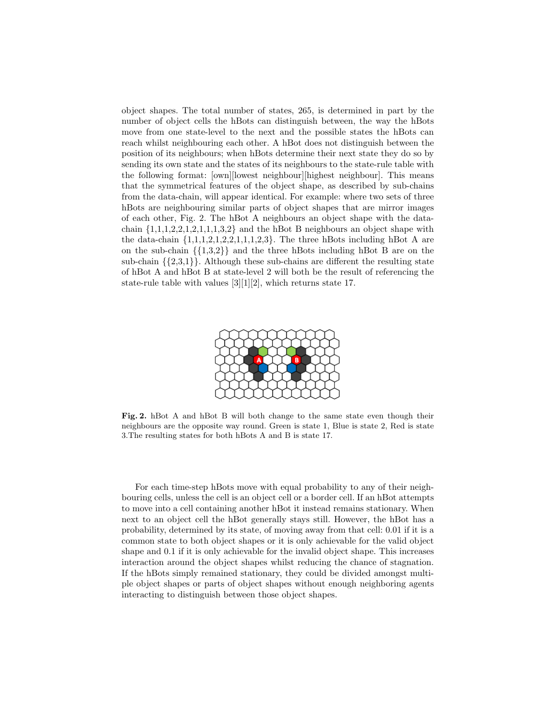object shapes. The total number of states, 265, is determined in part by the number of object cells the hBots can distinguish between, the way the hBots move from one state-level to the next and the possible states the hBots can reach whilst neighbouring each other. A hBot does not distinguish between the position of its neighbours; when hBots determine their next state they do so by sending its own state and the states of its neighbours to the state-rule table with the following format: [own][lowest neighbour][highest neighbour]. This means that the symmetrical features of the object shape, as described by sub-chains from the data-chain, will appear identical. For example: where two sets of three hBots are neighbouring similar parts of object shapes that are mirror images of each other, Fig. 2. The hBot A neighbours an object shape with the datachain  $\{1,1,1,2,2,1,2,1,1,1,3,2\}$  and the hBot B neighbours an object shape with the data-chain  $\{1,1,1,2,1,2,2,1,1,1,2,3\}$ . The three hBots including hBot A are on the sub-chain  $\{\{1,3,2\}\}\$  and the three hBots including hBot B are on the sub-chain  $\{\{2,3,1\}\}\.$  Although these sub-chains are different the resulting state of hBot A and hBot B at state-level 2 will both be the result of referencing the state-rule table with values [3][1][2], which returns state 17.



Fig. 2. hBot A and hBot B will both change to the same state even though their neighbours are the opposite way round. Green is state 1, Blue is state 2, Red is state 3.The resulting states for both hBots A and B is state 17.

For each time-step hBots move with equal probability to any of their neighbouring cells, unless the cell is an object cell or a border cell. If an hBot attempts to move into a cell containing another hBot it instead remains stationary. When next to an object cell the hBot generally stays still. However, the hBot has a probability, determined by its state, of moving away from that cell: 0.01 if it is a common state to both object shapes or it is only achievable for the valid object shape and 0.1 if it is only achievable for the invalid object shape. This increases interaction around the object shapes whilst reducing the chance of stagnation. If the hBots simply remained stationary, they could be divided amongst multiple object shapes or parts of object shapes without enough neighboring agents interacting to distinguish between those object shapes.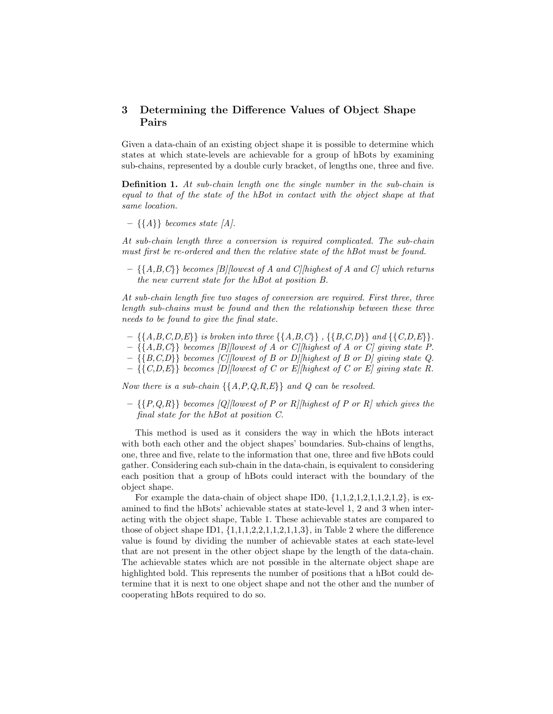# 3 Determining the Difference Values of Object Shape Pairs

Given a data-chain of an existing object shape it is possible to determine which states at which state-levels are achievable for a group of hBots by examining sub-chains, represented by a double curly bracket, of lengths one, three and five.

Definition 1. At sub-chain length one the single number in the sub-chain is equal to that of the state of the hBot in contact with the object shape at that same location.

 $- \{\{A\}\}\;$  becomes state  $|A|$ .

At sub-chain length three a conversion is required complicated. The sub-chain must first be re-ordered and then the relative state of the hBot must be found.

 $- \{ \{A,B,C\} \}$  becomes [B][lowest of A and C][highest of A and C] which returns the new current state for the hBot at position B.

At sub-chain length five two stages of conversion are required. First three, three length sub-chains must be found and then the relationship between these three needs to be found to give the final state.

- $\{ \{A,B,C,D,E\} \}$  is broken into three  $\{ \{A,B,C\} \}$ ,  $\{ \{B,C,D\} \}$  and  $\{ \{C,D,E\} \}.$
- $\{\{A,B,C\}\}\;$  becomes [B][lowest of A or C][highest of A or C] giving state P.
- $\{ \{B, C, D\} \}$  becomes [C][lowest of B or D][highest of B or D] giving state Q.
- $\{\{C,D,E\}\}\;$  becomes  $|D|$ [lowest of C or E][highest of C or E] giving state R.

Now there is a sub-chain  $\{\{A, P, Q, R, E\}\}\$  and  $Q$  can be resolved.

 $- \{P,Q,R\}$  becomes [Q][lowest of P or R][highest of P or R] which gives the final state for the hBot at position C.

This method is used as it considers the way in which the hBots interact with both each other and the object shapes' boundaries. Sub-chains of lengths, one, three and five, relate to the information that one, three and five hBots could gather. Considering each sub-chain in the data-chain, is equivalent to considering each position that a group of hBots could interact with the boundary of the object shape.

For example the data-chain of object shape ID0,  $\{1,1,2,1,2,1,1,2,1,2\}$ , is examined to find the hBots' achievable states at state-level 1, 2 and 3 when interacting with the object shape, Table 1. These achievable states are compared to those of object shape ID1,  $\{1,1,1,2,2,1,1,2,1,1,3\}$ , in Table 2 where the difference value is found by dividing the number of achievable states at each state-level that are not present in the other object shape by the length of the data-chain. The achievable states which are not possible in the alternate object shape are highlighted bold. This represents the number of positions that a hBot could determine that it is next to one object shape and not the other and the number of cooperating hBots required to do so.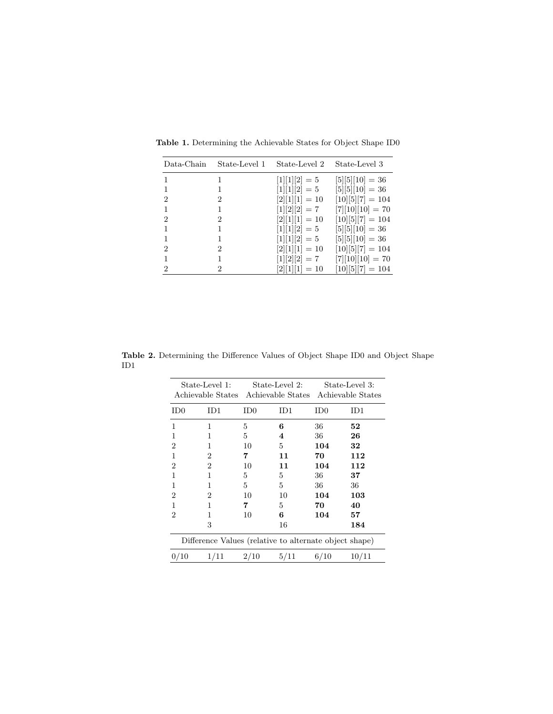| Data-Chain     | State-Level 1  | State-Level 2    | State-Level 3      |
|----------------|----------------|------------------|--------------------|
|                | 1              | $[1][1][2] = 5$  | $[5][5][10] = 36$  |
|                | 1              | $[1][1][2] = 5$  | $[5][5][10] = 36$  |
| 2              | $^{2}$         | $[2][1][1] = 10$ | $[10][5][7] = 104$ |
|                | 1.             | $[1][2][2] = 7$  | $[7][10][10] = 70$ |
| $\overline{2}$ | 2              | $[2][1][1] = 10$ | $[10][5][7] = 104$ |
|                | 1              | $[1][1][2] = 5$  | $[5][5][10] = 36$  |
|                |                | $[1][1][2] = 5$  | $[5][5][10] = 36$  |
| $\overline{2}$ | $\overline{2}$ | $[2][1][1] = 10$ | $[10][5][7] = 104$ |
|                | $\mathbf{1}$   | $[1][2][2] = 7$  | $[7][10][10] = 70$ |
| 2              | $\overline{2}$ | $[2][1][1] = 10$ | $[10][5][7] = 104$ |

Table 1. Determining the Achievable States for Object Shape ID0

Table 2. Determining the Difference Values of Object Shape ID0 and Object Shape ID1

| State-Level 1:<br>Achievable States |                                                        | State-Level 2:<br>Achievable States |      | State-Level 3:<br>Achievable States |       |
|-------------------------------------|--------------------------------------------------------|-------------------------------------|------|-------------------------------------|-------|
| $_{\rm ID0}$                        | ID1                                                    | ID0                                 | ID1  | $_{\rm ID0}$                        | ID1   |
| 1                                   | 1                                                      | 5                                   | 6    | 36                                  | 52    |
| 1                                   | 1                                                      | 5                                   | 4    | 36                                  | 26    |
| 2                                   | 1                                                      | 10                                  | 5    | 104                                 | 32    |
| 1                                   | 2                                                      | 7                                   | 11   | 70                                  | 112   |
| 2                                   | 2                                                      | 10                                  | 11   | 104                                 | 112   |
| 1                                   | 1                                                      | 5                                   | 5    | 36                                  | 37    |
| 1                                   | 1                                                      | 5                                   | 5    | 36                                  | 36    |
| 2                                   | 2                                                      | 10                                  | 10   | 104                                 | 103   |
| 1                                   | 1                                                      | 7                                   | 5    | 70                                  | 40    |
| 2                                   | 1                                                      | 10                                  | 6    | 104                                 | 57    |
|                                     | 3                                                      |                                     | 16   |                                     | 184   |
|                                     | Difference Values (relative to alternate object shape) |                                     |      |                                     |       |
| 0/10                                | 1/11                                                   | 2/10                                | 5/11 | 6/10                                | 10/11 |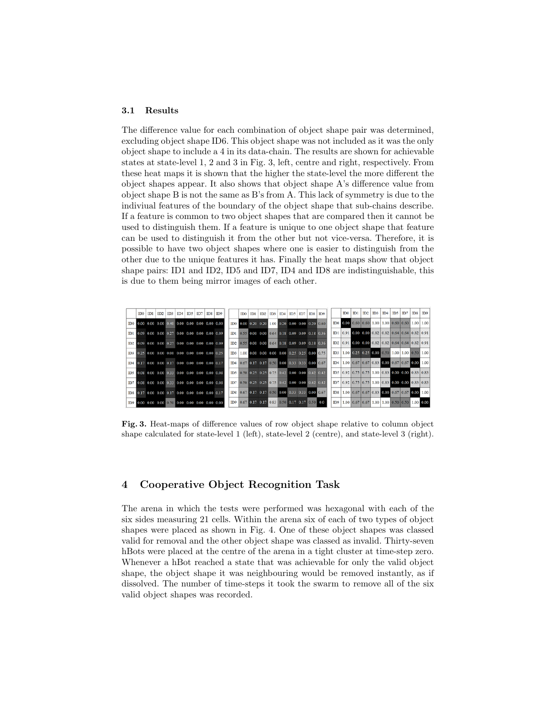#### 3.1 Results

The difference value for each combination of object shape pair was determined, excluding object shape ID6. This object shape was not included as it was the only object shape to include a 4 in its data-chain. The results are shown for achievable states at state-level 1, 2 and 3 in Fig. 3, left, centre and right, respectively. From these heat maps it is shown that the higher the state-level the more different the object shapes appear. It also shows that object shape A's difference value from object shape B is not the same as B's from A. This lack of symmetry is due to the indiviual features of the boundary of the object shape that sub-chains describe. If a feature is common to two object shapes that are compared then it cannot be used to distinguish them. If a feature is unique to one object shape that feature can be used to distinguish it from the other but not vice-versa. Therefore, it is possible to have two object shapes where one is easier to distinguish from the other due to the unique features it has. Finally the heat maps show that object shape pairs: ID1 and ID2, ID5 and ID7, ID4 and ID8 are indistinguishable, this is due to them being mirror images of each other.



Fig. 3. Heat-maps of difference values of row object shape relative to column object shape calculated for state-level 1 (left), state-level 2 (centre), and state-level 3 (right).

## 4 Cooperative Object Recognition Task

The arena in which the tests were performed was hexagonal with each of the six sides measuring 21 cells. Within the arena six of each of two types of object shapes were placed as shown in Fig. 4. One of these object shapes was classed valid for removal and the other object shape was classed as invalid. Thirty-seven hBots were placed at the centre of the arena in a tight cluster at time-step zero. Whenever a hBot reached a state that was achievable for only the valid object shape, the object shape it was neighbouring would be removed instantly, as if dissolved. The number of time-steps it took the swarm to remove all of the six valid object shapes was recorded.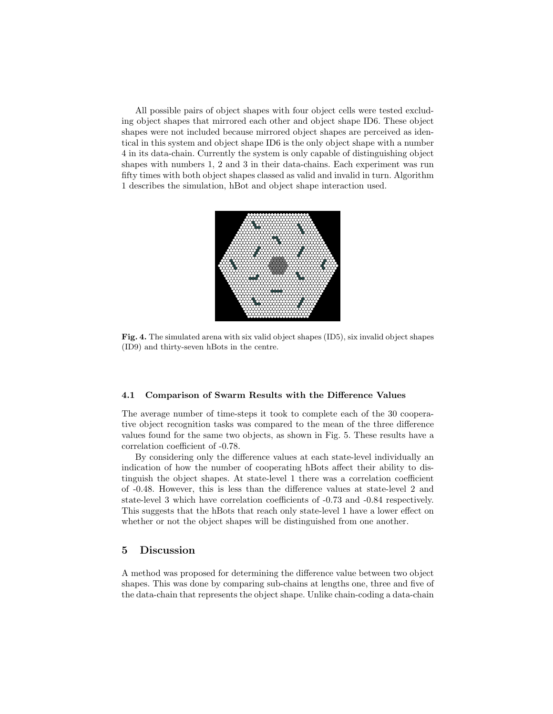All possible pairs of object shapes with four object cells were tested excluding object shapes that mirrored each other and object shape ID6. These object shapes were not included because mirrored object shapes are perceived as identical in this system and object shape ID6 is the only object shape with a number 4 in its data-chain. Currently the system is only capable of distinguishing object shapes with numbers 1, 2 and 3 in their data-chains. Each experiment was run fifty times with both object shapes classed as valid and invalid in turn. Algorithm 1 describes the simulation, hBot and object shape interaction used.



Fig. 4. The simulated arena with six valid object shapes (ID5), six invalid object shapes (ID9) and thirty-seven hBots in the centre.

#### 4.1 Comparison of Swarm Results with the Difference Values

The average number of time-steps it took to complete each of the 30 cooperative object recognition tasks was compared to the mean of the three difference values found for the same two objects, as shown in Fig. 5. These results have a correlation coefficient of -0.78.

By considering only the difference values at each state-level individually an indication of how the number of cooperating hBots affect their ability to distinguish the object shapes. At state-level 1 there was a correlation coefficient of -0.48. However, this is less than the difference values at state-level 2 and state-level 3 which have correlation coefficients of -0.73 and -0.84 respectively. This suggests that the hBots that reach only state-level 1 have a lower effect on whether or not the object shapes will be distinguished from one another.

### 5 Discussion

A method was proposed for determining the difference value between two object shapes. This was done by comparing sub-chains at lengths one, three and five of the data-chain that represents the object shape. Unlike chain-coding a data-chain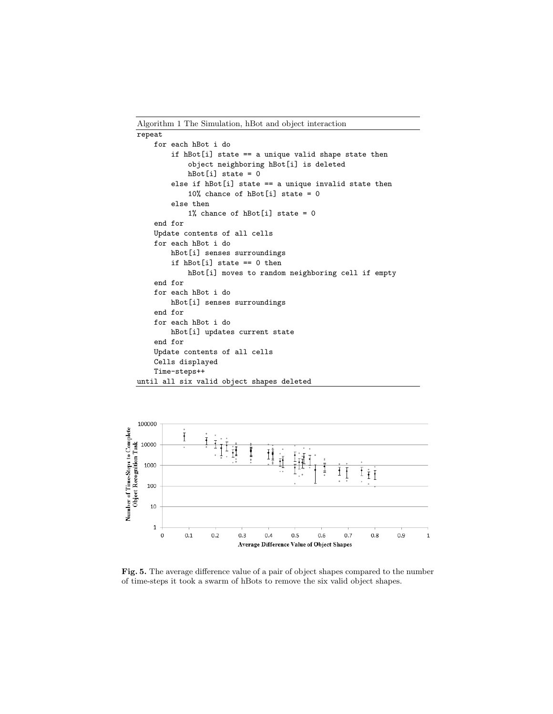Algorithm 1 The Simulation, hBot and object interaction

```
repeat
    for each hBot i do
        if hBot[i] state == a unique valid shape state then
            object neighboring hBot[i] is deleted
            hBot[i] state = 0
        else if hBot[i] state == a unique invalid state then
            10% chance of hBot[i] state = 0
        else then
            1% chance of hBot[i] state = 0
    end for
    Update contents of all cells
    for each hBot i do
        hBot[i] senses surroundings
        if hBot[i] state == 0 then
            hBot[i] moves to random neighboring cell if empty
    end for
    for each hBot i do
        hBot[i] senses surroundings
    end for
    for each hBot i do
        hBot[i] updates current state
    end for
    Update contents of all cells
    Cells displayed
    Time-steps++
until all six valid object shapes deleted
```


Fig. 5. The average difference value of a pair of object shapes compared to the number of time-steps it took a swarm of hBots to remove the six valid object shapes.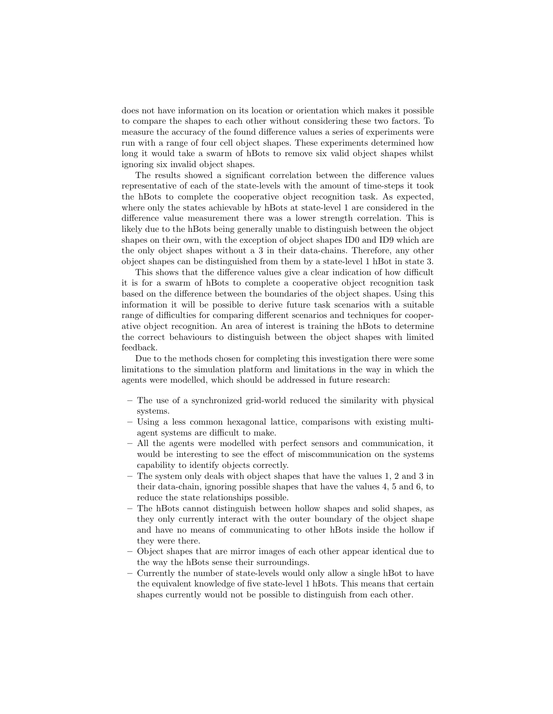does not have information on its location or orientation which makes it possible to compare the shapes to each other without considering these two factors. To measure the accuracy of the found difference values a series of experiments were run with a range of four cell object shapes. These experiments determined how long it would take a swarm of hBots to remove six valid object shapes whilst ignoring six invalid object shapes.

The results showed a significant correlation between the difference values representative of each of the state-levels with the amount of time-steps it took the hBots to complete the cooperative object recognition task. As expected, where only the states achievable by hBots at state-level 1 are considered in the difference value measurement there was a lower strength correlation. This is likely due to the hBots being generally unable to distinguish between the object shapes on their own, with the exception of object shapes ID0 and ID9 which are the only object shapes without a 3 in their data-chains. Therefore, any other object shapes can be distinguished from them by a state-level 1 hBot in state 3.

This shows that the difference values give a clear indication of how difficult it is for a swarm of hBots to complete a cooperative object recognition task based on the difference between the boundaries of the object shapes. Using this information it will be possible to derive future task scenarios with a suitable range of difficulties for comparing different scenarios and techniques for cooperative object recognition. An area of interest is training the hBots to determine the correct behaviours to distinguish between the object shapes with limited feedback.

Due to the methods chosen for completing this investigation there were some limitations to the simulation platform and limitations in the way in which the agents were modelled, which should be addressed in future research:

- The use of a synchronized grid-world reduced the similarity with physical systems.
- Using a less common hexagonal lattice, comparisons with existing multiagent systems are difficult to make.
- All the agents were modelled with perfect sensors and communication, it would be interesting to see the effect of miscommunication on the systems capability to identify objects correctly.
- The system only deals with object shapes that have the values 1, 2 and 3 in their data-chain, ignoring possible shapes that have the values 4, 5 and 6, to reduce the state relationships possible.
- The hBots cannot distinguish between hollow shapes and solid shapes, as they only currently interact with the outer boundary of the object shape and have no means of communicating to other hBots inside the hollow if they were there.
- Object shapes that are mirror images of each other appear identical due to the way the hBots sense their surroundings.
- Currently the number of state-levels would only allow a single hBot to have the equivalent knowledge of five state-level 1 hBots. This means that certain shapes currently would not be possible to distinguish from each other.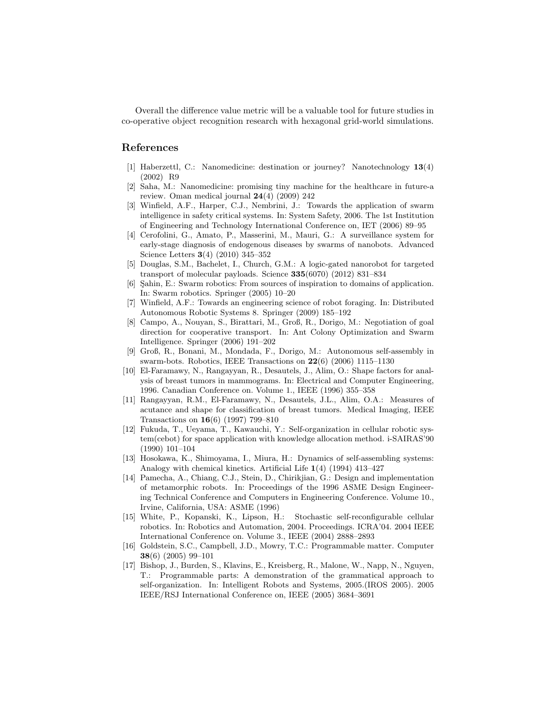Overall the difference value metric will be a valuable tool for future studies in co-operative object recognition research with hexagonal grid-world simulations.

# References

- [1] Haberzettl, C.: Nanomedicine: destination or journey? Nanotechnology 13(4) (2002) R9
- [2] Saha, M.: Nanomedicine: promising tiny machine for the healthcare in future-a review. Oman medical journal  $24(4)$  (2009) 242
- [3] Winfield, A.F., Harper, C.J., Nembrini, J.: Towards the application of swarm intelligence in safety critical systems. In: System Safety, 2006. The 1st Institution of Engineering and Technology International Conference on, IET (2006) 89–95
- [4] Cerofolini, G., Amato, P., Masserini, M., Mauri, G.: A surveillance system for early-stage diagnosis of endogenous diseases by swarms of nanobots. Advanced Science Letters 3(4) (2010) 345–352
- [5] Douglas, S.M., Bachelet, I., Church, G.M.: A logic-gated nanorobot for targeted transport of molecular payloads. Science  $335(6070)$  (2012) 831–834
- [6] Sahin, E.: Swarm robotics: From sources of inspiration to domains of application. In: Swarm robotics. Springer (2005) 10–20
- [7] Winfield, A.F.: Towards an engineering science of robot foraging. In: Distributed Autonomous Robotic Systems 8. Springer (2009) 185–192
- [8] Campo, A., Nouyan, S., Birattari, M., Groß, R., Dorigo, M.: Negotiation of goal direction for cooperative transport. In: Ant Colony Optimization and Swarm Intelligence. Springer (2006) 191–202
- [9] Groß, R., Bonani, M., Mondada, F., Dorigo, M.: Autonomous self-assembly in swarm-bots. Robotics, IEEE Transactions on  $22(6)$   $(2006)$  1115–1130
- [10] El-Faramawy, N., Rangayyan, R., Desautels, J., Alim, O.: Shape factors for analysis of breast tumors in mammograms. In: Electrical and Computer Engineering, 1996. Canadian Conference on. Volume 1., IEEE (1996) 355–358
- [11] Rangayyan, R.M., El-Faramawy, N., Desautels, J.L., Alim, O.A.: Measures of acutance and shape for classification of breast tumors. Medical Imaging, IEEE Transactions on 16(6) (1997) 799–810
- [12] Fukuda, T., Ueyama, T., Kawauchi, Y.: Self-organization in cellular robotic system(cebot) for space application with knowledge allocation method. i-SAIRAS'90 (1990) 101–104
- [13] Hosokawa, K., Shimoyama, I., Miura, H.: Dynamics of self-assembling systems: Analogy with chemical kinetics. Artificial Life 1(4) (1994) 413–427
- [14] Pamecha, A., Chiang, C.J., Stein, D., Chirikjian, G.: Design and implementation of metamorphic robots. In: Proceedings of the 1996 ASME Design Engineering Technical Conference and Computers in Engineering Conference. Volume 10., Irvine, California, USA: ASME (1996)
- [15] White, P., Kopanski, K., Lipson, H.: Stochastic self-reconfigurable cellular robotics. In: Robotics and Automation, 2004. Proceedings. ICRA'04. 2004 IEEE International Conference on. Volume 3., IEEE (2004) 2888–2893
- [16] Goldstein, S.C., Campbell, J.D., Mowry, T.C.: Programmable matter. Computer 38(6) (2005) 99–101
- [17] Bishop, J., Burden, S., Klavins, E., Kreisberg, R., Malone, W., Napp, N., Nguyen, T.: Programmable parts: A demonstration of the grammatical approach to self-organization. In: Intelligent Robots and Systems, 2005.(IROS 2005). 2005 IEEE/RSJ International Conference on, IEEE (2005) 3684–3691